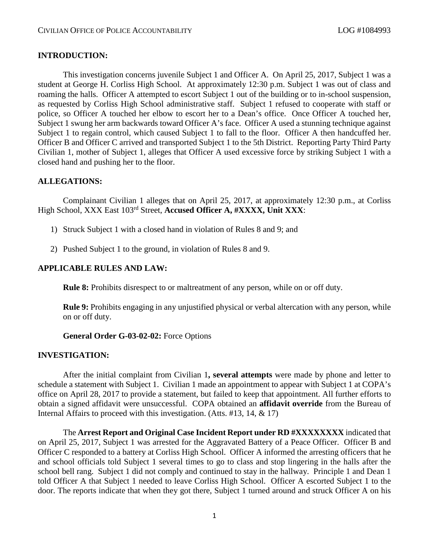## **INTRODUCTION:**

This investigation concerns juvenile Subject 1 and Officer A. On April 25, 2017, Subject 1 was a student at George H. Corliss High School. At approximately 12:30 p.m. Subject 1 was out of class and roaming the halls. Officer A attempted to escort Subject 1 out of the building or to in-school suspension, as requested by Corliss High School administrative staff. Subject 1 refused to cooperate with staff or police, so Officer A touched her elbow to escort her to a Dean's office. Once Officer A touched her, Subject 1 swung her arm backwards toward Officer A's face. Officer A used a stunning technique against Subject 1 to regain control, which caused Subject 1 to fall to the floor. Officer A then handcuffed her. Officer B and Officer C arrived and transported Subject 1 to the 5th District. Reporting Party Third Party Civilian 1, mother of Subject 1, alleges that Officer A used excessive force by striking Subject 1 with a closed hand and pushing her to the floor.

# **ALLEGATIONS:**

Complainant Civilian 1 alleges that on April 25, 2017, at approximately 12:30 p.m., at Corliss High School, XXX East 103rd Street, **Accused Officer A, #XXXX, Unit XXX**:

- 1) Struck Subject 1 with a closed hand in violation of Rules 8 and 9; and
- 2) Pushed Subject 1 to the ground, in violation of Rules 8 and 9.

## **APPLICABLE RULES AND LAW:**

**Rule 8:** Prohibits disrespect to or maltreatment of any person, while on or off duty.

**Rule 9:** Prohibits engaging in any unjustified physical or verbal altercation with any person, while on or off duty.

**General Order G-03-02-02:** Force Options

#### **INVESTIGATION:**

After the initial complaint from Civilian 1**, several attempts** were made by phone and letter to schedule a statement with Subject 1. Civilian 1 made an appointment to appear with Subject 1 at COPA's office on April 28, 2017 to provide a statement, but failed to keep that appointment. All further efforts to obtain a signed affidavit were unsuccessful. COPA obtained an **affidavit override** from the Bureau of Internal Affairs to proceed with this investigation. (Atts. #13, 14, & 17)

The **Arrest Report and Original Case Incident Report under RD #XXXXXXXX** indicated that on April 25, 2017, Subject 1 was arrested for the Aggravated Battery of a Peace Officer. Officer B and Officer C responded to a battery at Corliss High School. Officer A informed the arresting officers that he and school officials told Subject 1 several times to go to class and stop lingering in the halls after the school bell rang. Subject 1 did not comply and continued to stay in the hallway. Principle 1 and Dean 1 told Officer A that Subject 1 needed to leave Corliss High School. Officer A escorted Subject 1 to the door. The reports indicate that when they got there, Subject 1 turned around and struck Officer A on his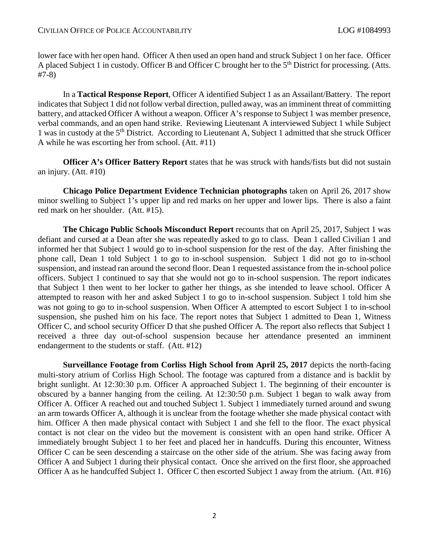lower face with her open hand. Officer A then used an open hand and struck Subject 1 on her face. Officer A placed Subject 1 in custody. Officer B and Officer C brought her to the 5<sup>th</sup> District for processing. (Atts. #7-8)

In a **Tactical Response Report**, Officer A identified Subject 1 as an Assailant/Battery. The report indicates that Subject 1 did not follow verbal direction, pulled away, was an imminent threat of committing battery, and attacked Officer A without a weapon. Officer A's response to Subject 1 was member presence, verbal commands, and an open hand strike. Reviewing Lieutenant A interviewed Subject 1 while Subject 1 was in custody at the 5<sup>th</sup> District. According to Lieutenant A, Subject 1 admitted that she struck Officer A while he was escorting her from school. (Att. #11)

**Officer A's Officer Battery Report** states that he was struck with hands/fists but did not sustain an injury. (Att. #10)

**Chicago Police Department Evidence Technician photographs** taken on April 26, 2017 show minor swelling to Subject 1's upper lip and red marks on her upper and lower lips. There is also a faint red mark on her shoulder. (Att. #15).

**The Chicago Public Schools Misconduct Report** recounts that on April 25, 2017, Subject 1 was defiant and cursed at a Dean after she was repeatedly asked to go to class. Dean 1 called Civilian 1 and informed her that Subject 1 would go to in-school suspension for the rest of the day. After finishing the phone call, Dean 1 told Subject 1 to go to in-school suspension. Subject 1 did not go to in-school suspension, and instead ran around the second floor. Dean 1 requested assistance from the in-school police officers. Subject 1 continued to say that she would not go to in-school suspension. The report indicates that Subject 1 then went to her locker to gather her things, as she intended to leave school. Officer A attempted to reason with her and asked Subject 1 to go to in-school suspension. Subject 1 told him she was not going to go to in-school suspension. When Officer A attempted to escort Subject 1 to in-school suspension, she pushed him on his face. The report notes that Subject 1 admitted to Dean 1, Witness Officer C, and school security Officer D that she pushed Officer A. The report also reflects that Subject 1 received a three day out-of-school suspension because her attendance presented an imminent endangerment to the students or staff. (Att. #12)

**Surveillance Footage from Corliss High School from April 25, 2017** depicts the north-facing multi-story atrium of Corliss High School. The footage was captured from a distance and is backlit by bright sunlight. At 12:30:30 p.m. Officer A approached Subject 1. The beginning of their encounter is obscured by a banner hanging from the ceiling. At 12:30:50 p.m. Subject 1 began to walk away from Officer A. Officer A reached out and touched Subject 1. Subject 1 immediately turned around and swung an arm towards Officer A, although it is unclear from the footage whether she made physical contact with him. Officer A then made physical contact with Subject 1 and she fell to the floor. The exact physical contact is not clear on the video but the movement is consistent with an open hand strike. Officer A immediately brought Subject 1 to her feet and placed her in handcuffs. During this encounter, Witness Officer C can be seen descending a staircase on the other side of the atrium. She was facing away from Officer A and Subject 1 during their physical contact. Once she arrived on the first floor, she approached Officer A as he handcuffed Subject 1. Officer C then escorted Subject 1 away from the atrium. (Att. #16)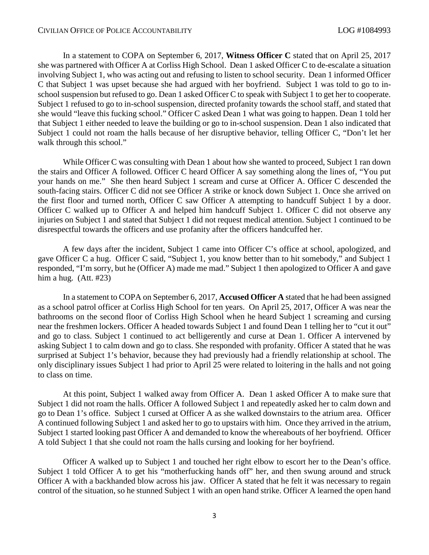In a statement to COPA on September 6, 2017, **Witness Officer C** stated that on April 25, 2017 she was partnered with Officer A at Corliss High School. Dean 1 asked Officer C to de-escalate a situation involving Subject 1, who was acting out and refusing to listen to school security. Dean 1 informed Officer C that Subject 1 was upset because she had argued with her boyfriend. Subject 1 was told to go to inschool suspension but refused to go. Dean 1 asked Officer C to speak with Subject 1 to get her to cooperate. Subject 1 refused to go to in-school suspension, directed profanity towards the school staff, and stated that she would "leave this fucking school." Officer C asked Dean 1 what was going to happen. Dean 1 told her that Subject 1 either needed to leave the building or go to in-school suspension. Dean 1 also indicated that Subject 1 could not roam the halls because of her disruptive behavior, telling Officer C, "Don't let her walk through this school."

While Officer C was consulting with Dean 1 about how she wanted to proceed, Subject 1 ran down the stairs and Officer A followed. Officer C heard Officer A say something along the lines of, "You put your hands on me." She then heard Subject 1 scream and curse at Officer A. Officer C descended the south-facing stairs. Officer C did not see Officer A strike or knock down Subject 1. Once she arrived on the first floor and turned north, Officer C saw Officer A attempting to handcuff Subject 1 by a door. Officer C walked up to Officer A and helped him handcuff Subject 1. Officer C did not observe any injuries on Subject 1 and stated that Subject 1 did not request medical attention. Subject 1 continued to be disrespectful towards the officers and use profanity after the officers handcuffed her.

A few days after the incident, Subject 1 came into Officer C's office at school, apologized, and gave Officer C a hug. Officer C said, "Subject 1, you know better than to hit somebody," and Subject 1 responded, "I'm sorry, but he (Officer A) made me mad." Subject 1 then apologized to Officer A and gave him a hug. (Att. #23)

In a statement to COPA on September 6, 2017, **Accused Officer A** stated that he had been assigned as a school patrol officer at Corliss High School for ten years. On April 25, 2017, Officer A was near the bathrooms on the second floor of Corliss High School when he heard Subject 1 screaming and cursing near the freshmen lockers. Officer A headed towards Subject 1 and found Dean 1 telling her to "cut it out" and go to class. Subject 1 continued to act belligerently and curse at Dean 1. Officer A intervened by asking Subject 1 to calm down and go to class. She responded with profanity. Officer A stated that he was surprised at Subject 1's behavior, because they had previously had a friendly relationship at school. The only disciplinary issues Subject 1 had prior to April 25 were related to loitering in the halls and not going to class on time.

At this point, Subject 1 walked away from Officer A. Dean 1 asked Officer A to make sure that Subject 1 did not roam the halls. Officer A followed Subject 1 and repeatedly asked her to calm down and go to Dean 1's office. Subject 1 cursed at Officer A as she walked downstairs to the atrium area. Officer A continued following Subject 1 and asked her to go to upstairs with him. Once they arrived in the atrium, Subject 1 started looking past Officer A and demanded to know the whereabouts of her boyfriend. Officer A told Subject 1 that she could not roam the halls cursing and looking for her boyfriend.

Officer A walked up to Subject 1 and touched her right elbow to escort her to the Dean's office. Subject 1 told Officer A to get his "motherfucking hands off" her, and then swung around and struck Officer A with a backhanded blow across his jaw. Officer A stated that he felt it was necessary to regain control of the situation, so he stunned Subject 1 with an open hand strike. Officer A learned the open hand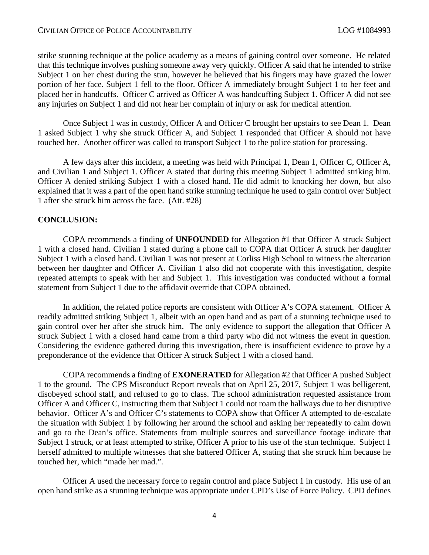strike stunning technique at the police academy as a means of gaining control over someone. He related that this technique involves pushing someone away very quickly. Officer A said that he intended to strike Subject 1 on her chest during the stun, however he believed that his fingers may have grazed the lower portion of her face. Subject 1 fell to the floor. Officer A immediately brought Subject 1 to her feet and placed her in handcuffs. Officer C arrived as Officer A was handcuffing Subject 1. Officer A did not see any injuries on Subject 1 and did not hear her complain of injury or ask for medical attention.

Once Subject 1 was in custody, Officer A and Officer C brought her upstairs to see Dean 1. Dean 1 asked Subject 1 why she struck Officer A, and Subject 1 responded that Officer A should not have touched her. Another officer was called to transport Subject 1 to the police station for processing.

A few days after this incident, a meeting was held with Principal 1, Dean 1, Officer C, Officer A, and Civilian 1 and Subject 1. Officer A stated that during this meeting Subject 1 admitted striking him. Officer A denied striking Subject 1 with a closed hand. He did admit to knocking her down, but also explained that it was a part of the open hand strike stunning technique he used to gain control over Subject 1 after she struck him across the face. (Att. #28)

#### **CONCLUSION:**

COPA recommends a finding of **UNFOUNDED** for Allegation #1 that Officer A struck Subject 1 with a closed hand. Civilian 1 stated during a phone call to COPA that Officer A struck her daughter Subject 1 with a closed hand. Civilian 1 was not present at Corliss High School to witness the altercation between her daughter and Officer A. Civilian 1 also did not cooperate with this investigation, despite repeated attempts to speak with her and Subject 1. This investigation was conducted without a formal statement from Subject 1 due to the affidavit override that COPA obtained.

In addition, the related police reports are consistent with Officer A's COPA statement. Officer A readily admitted striking Subject 1, albeit with an open hand and as part of a stunning technique used to gain control over her after she struck him. The only evidence to support the allegation that Officer A struck Subject 1 with a closed hand came from a third party who did not witness the event in question. Considering the evidence gathered during this investigation, there is insufficient evidence to prove by a preponderance of the evidence that Officer A struck Subject 1 with a closed hand.

COPA recommends a finding of **EXONERATED** for Allegation #2 that Officer A pushed Subject 1 to the ground. The CPS Misconduct Report reveals that on April 25, 2017, Subject 1 was belligerent, disobeyed school staff, and refused to go to class. The school administration requested assistance from Officer A and Officer C, instructing them that Subject 1 could not roam the hallways due to her disruptive behavior. Officer A's and Officer C's statements to COPA show that Officer A attempted to de-escalate the situation with Subject 1 by following her around the school and asking her repeatedly to calm down and go to the Dean's office. Statements from multiple sources and surveillance footage indicate that Subject 1 struck, or at least attempted to strike, Officer A prior to his use of the stun technique. Subject 1 herself admitted to multiple witnesses that she battered Officer A, stating that she struck him because he touched her, which "made her mad.".

Officer A used the necessary force to regain control and place Subject 1 in custody. His use of an open hand strike as a stunning technique was appropriate under CPD's Use of Force Policy. CPD defines